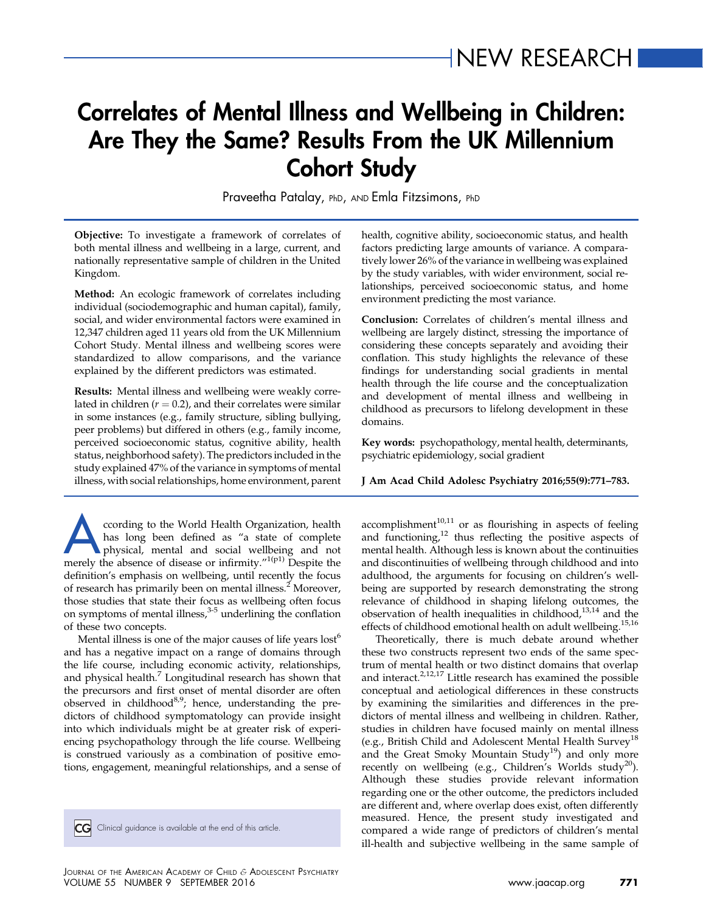# Correlates of Mental Illness and Wellbeing in Children: Are They the Same? Results From the UK Millennium Cohort Study

Praveetha Patalay, PhD, AND Emla Fitzsimons, PhD

Objective: To investigate a framework of correlates of both mental illness and wellbeing in a large, current, and nationally representative sample of children in the United Kingdom.

Method: An ecologic framework of correlates including individual (sociodemographic and human capital), family, social, and wider environmental factors were examined in 12,347 children aged 11 years old from the UK Millennium Cohort Study. Mental illness and wellbeing scores were standardized to allow comparisons, and the variance explained by the different predictors was estimated.

Results: Mental illness and wellbeing were weakly correlated in children ( $r = 0.2$ ), and their correlates were similar in some instances (e.g., family structure, sibling bullying, peer problems) but differed in others (e.g., family income, perceived socioeconomic status, cognitive ability, health status, neighborhood safety). The predictors included in the study explained 47% of the variance in symptoms of mental illness, with social relationships, home environment, parent

ccording to the World Health Organization, health<br>has long been defined as "a state of complete<br>physical, mental and social wellbeing and not<br>merely the absence of disease or infirmity."<sup>1(p1)</sup> Despite the ccording to the World Health Organization, health has long been defined as "a state of complete merely the absence of disease or infirmity."<sup>[1\(](#page-11-0)p1)</sup> Despite the definition's emphasis on wellbeing, until recently the focus of research has primarily been on mental illness.<sup>[2](#page-11-0)</sup> Moreover, those studies that state their focus as wellbeing often focus on symptoms of mental illness, $3-5$  underlining the conflation of these two concepts.

Mental illness is one of the major causes of life years lost<sup>[6](#page-11-0)</sup> and has a negative impact on a range of domains through the life course, including economic activity, relationships, and physical health.<sup>[7](#page-11-0)</sup> Longitudinal research has shown that the precursors and first onset of mental disorder are often observed in childhood $8.9$ ; hence, understanding the predictors of childhood symptomatology can provide insight into which individuals might be at greater risk of experiencing psychopathology through the life course. Wellbeing is construed variously as a combination of positive emotions, engagement, meaningful relationships, and a sense of health, cognitive ability, socioeconomic status, and health factors predicting large amounts of variance. A comparatively lower 26% of the variance in wellbeing was explained by the study variables, with wider environment, social relationships, perceived socioeconomic status, and home environment predicting the most variance.

Conclusion: Correlates of children's mental illness and wellbeing are largely distinct, stressing the importance of considering these concepts separately and avoiding their conflation. This study highlights the relevance of these findings for understanding social gradients in mental health through the life course and the conceptualization and development of mental illness and wellbeing in childhood as precursors to lifelong development in these domains.

Key words: psychopathology, mental health, determinants, psychiatric epidemiology, social gradient

J Am Acad Child Adolesc Psychiatry 2016;55(9):771–783.

accomplishment $10,11$  or as flourishing in aspects of feeling and functioning, $12$  thus reflecting the positive aspects of mental health. Although less is known about the continuities and discontinuities of wellbeing through childhood and into adulthood, the arguments for focusing on children's wellbeing are supported by research demonstrating the strong relevance of childhood in shaping lifelong outcomes, the observation of health inequalities in childhood, $13,14$  and the effects of childhood emotional health on adult wellbeing.[15,16](#page-11-0)

Theoretically, there is much debate around whether these two constructs represent two ends of the same spectrum of mental health or two distinct domains that overlap and interact.<sup>[2,12,17](#page-11-0)</sup> Little research has examined the possible conceptual and aetiological differences in these constructs by examining the similarities and differences in the predictors of mental illness and wellbeing in children. Rather, studies in children have focused mainly on mental illness (e.g., British Child and Adolescent Mental Health Survey<sup>[18](#page-11-0)</sup> and the Great Smoky Mountain Study<sup>19</sup>) and only more recently on wellbeing (e.g., Children's Worlds study<sup>20</sup>). Although these studies provide relevant information regarding one or the other outcome, the predictors included are different and, where overlap does exist, often differently measured. Hence, the present study investigated and compared a wide range of predictors of children's mental ill-health and subjective wellbeing in the same sample of

CG Clinical guidance is available at the end of this article.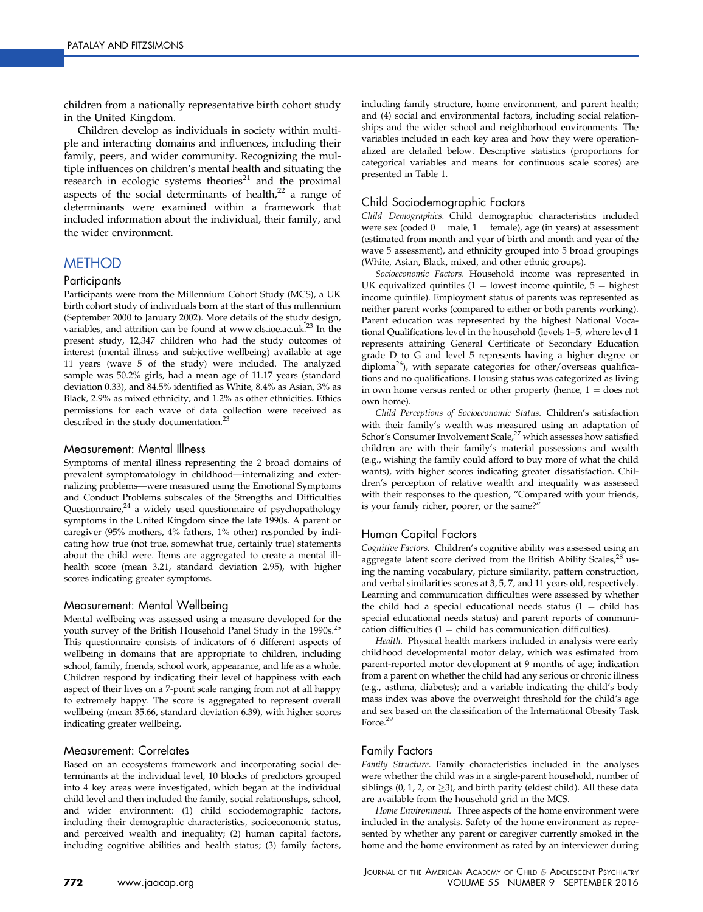children from a nationally representative birth cohort study in the United Kingdom.

Children develop as individuals in society within multiple and interacting domains and influences, including their family, peers, and wider community. Recognizing the multiple influences on children's mental health and situating the research in ecologic systems theories $21$  and the proximal aspects of the social determinants of health, $22$  a range of determinants were examined within a framework that included information about the individual, their family, and the wider environment.

## **METHOD**

#### **Participants**

Participants were from the Millennium Cohort Study (MCS), a UK birth cohort study of individuals born at the start of this millennium (September 2000 to January 2002). More details of the study design, variables, and attrition can be found at [www.cls.ioe.ac.uk.](http://www.cls.ioe.ac.uk)<sup>[23](#page-11-0)</sup> In the present study, 12,347 children who had the study outcomes of interest (mental illness and subjective wellbeing) available at age 11 years (wave 5 of the study) were included. The analyzed sample was 50.2% girls, had a mean age of 11.17 years (standard deviation 0.33), and 84.5% identified as White, 8.4% as Asian, 3% as Black, 2.9% as mixed ethnicity, and 1.2% as other ethnicities. Ethics permissions for each wave of data collection were received as described in the study documentation.<sup>23</sup>

#### Measurement: Mental Illness

Symptoms of mental illness representing the 2 broad domains of prevalent symptomatology in childhood—internalizing and externalizing problems—were measured using the Emotional Symptoms and Conduct Problems subscales of the Strengths and Difficulties Questionnaire,<sup>24</sup> a widely used questionnaire of psychopathology symptoms in the United Kingdom since the late 1990s. A parent or caregiver (95% mothers, 4% fathers, 1% other) responded by indicating how true (not true, somewhat true, certainly true) statements about the child were. Items are aggregated to create a mental illhealth score (mean 3.21, standard deviation 2.95), with higher scores indicating greater symptoms.

#### Measurement: Mental Wellbeing

Mental wellbeing was assessed using a measure developed for the youth survey of the British Household Panel Study in the 1990s.<sup>[25](#page-11-0)</sup> This questionnaire consists of indicators of 6 different aspects of wellbeing in domains that are appropriate to children, including school, family, friends, school work, appearance, and life as a whole. Children respond by indicating their level of happiness with each aspect of their lives on a 7-point scale ranging from not at all happy to extremely happy. The score is aggregated to represent overall wellbeing (mean 35.66, standard deviation 6.39), with higher scores indicating greater wellbeing.

### Measurement: Correlates

Based on an ecosystems framework and incorporating social determinants at the individual level, 10 blocks of predictors grouped into 4 key areas were investigated, which began at the individual child level and then included the family, social relationships, school, and wider environment: (1) child sociodemographic factors, including their demographic characteristics, socioeconomic status, and perceived wealth and inequality; (2) human capital factors, including cognitive abilities and health status; (3) family factors, including family structure, home environment, and parent health; and (4) social and environmental factors, including social relationships and the wider school and neighborhood environments. The variables included in each key area and how they were operationalized are detailed below. Descriptive statistics (proportions for categorical variables and means for continuous scale scores) are presented in [Table 1](#page-2-0).

## Child Sociodemographic Factors

Child Demographics. Child demographic characteristics included were sex (coded  $0 =$  male,  $1 =$  female), age (in years) at assessment (estimated from month and year of birth and month and year of the wave 5 assessment), and ethnicity grouped into 5 broad groupings (White, Asian, Black, mixed, and other ethnic groups).

Socioeconomic Factors. Household income was represented in UK equivalized quintiles (1 = lowest income quintile,  $5 =$  highest income quintile). Employment status of parents was represented as neither parent works (compared to either or both parents working). Parent education was represented by the highest National Vocational Qualifications level in the household (levels 1–5, where level 1 represents attaining General Certificate of Secondary Education grade D to G and level 5 represents having a higher degree or diploma<sup>26</sup>), with separate categories for other/overseas qualifications and no qualifications. Housing status was categorized as living in own home versus rented or other property (hence,  $1 =$  does not own home).

Child Perceptions of Socioeconomic Status. Children's satisfaction with their family's wealth was measured using an adaptation of Schor's Consumer Involvement Scale,<sup>27</sup> which assesses how satisfied children are with their family's material possessions and wealth (e.g., wishing the family could afford to buy more of what the child wants), with higher scores indicating greater dissatisfaction. Children's perception of relative wealth and inequality was assessed with their responses to the question, "Compared with your friends, is your family richer, poorer, or the same?"

#### Human Capital Factors

Cognitive Factors. Children's cognitive ability was assessed using an aggregate latent score derived from the British Ability Scales,<sup>[28](#page-11-0)</sup> using the naming vocabulary, picture similarity, pattern construction, and verbal similarities scores at 3, 5, 7, and 11 years old, respectively. Learning and communication difficulties were assessed by whether the child had a special educational needs status  $(1 - \text{child has})$ special educational needs status) and parent reports of communication difficulties  $(1 = \text{child has communication difficulties}).$ 

Health. Physical health markers included in analysis were early childhood developmental motor delay, which was estimated from parent-reported motor development at 9 months of age; indication from a parent on whether the child had any serious or chronic illness (e.g., asthma, diabetes); and a variable indicating the child's body mass index was above the overweight threshold for the child's age and sex based on the classification of the International Obesity Task Force.<sup>29</sup>

#### Family Factors

Family Structure. Family characteristics included in the analyses were whether the child was in a single-parent household, number of siblings  $(0, 1, 2, \text{ or } \geq 3)$ , and birth parity (eldest child). All these data are available from the household grid in the MCS.

Home Environment. Three aspects of the home environment were included in the analysis. Safety of the home environment as represented by whether any parent or caregiver currently smoked in the home and the home environment as rated by an interviewer during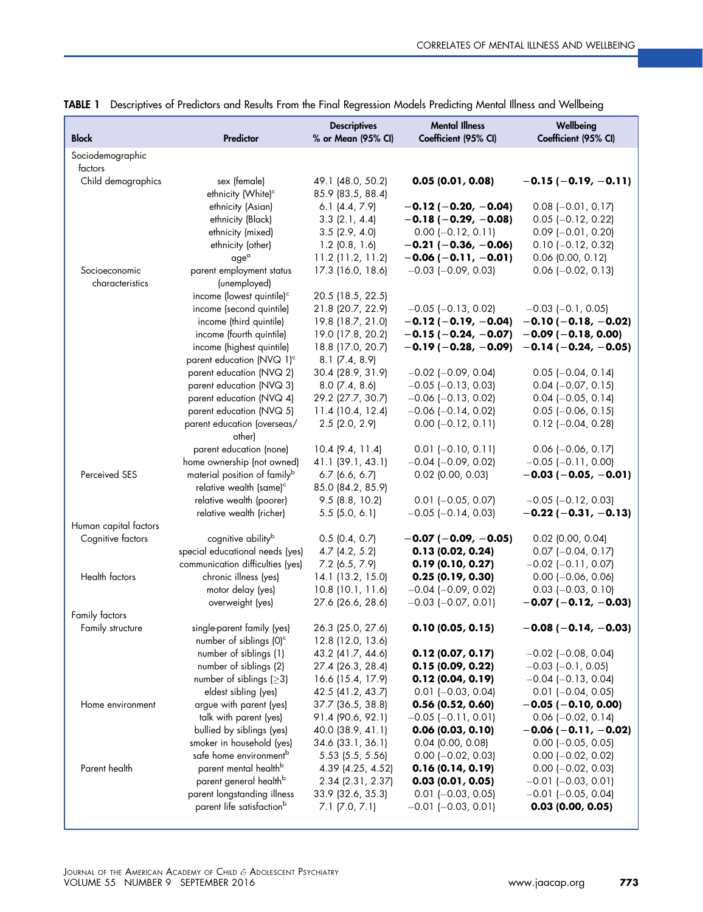| <b>Block</b>                     | Predictor                                                 | <b>Descriptives</b><br>% or Mean (95% CI) | <b>Mental Illness</b><br>Coefficient (95% CI)      | Wellbeing<br>Coefficient (95% CI)                 |
|----------------------------------|-----------------------------------------------------------|-------------------------------------------|----------------------------------------------------|---------------------------------------------------|
| Sociodemographic<br>factors      |                                                           |                                           |                                                    |                                                   |
| Child demographics               | sex (female)<br>ethnicity (White) <sup>c</sup>            | 49.1 (48.0, 50.2)<br>85.9 (83.5, 88.4)    | 0.05(0.01, 0.08)                                   | $-0.15(-0.19, -0.11)$                             |
|                                  | ethnicity (Asian)                                         | $6.1$ (4.4, 7.9)                          | $-0.12$ ( $-0.20, -0.04$ )                         | $0.08$ $(-0.01, 0.17)$                            |
|                                  | ethnicity (Black)                                         | $3.3$ $(2.1, 4.4)$                        | $-0.18(-0.29, -0.08)$                              | $0.05$ (-0.12, 0.22)                              |
|                                  | ethnicity (mixed)                                         | $3.5$ (2.9, 4.0)                          | $0.00$ $(-0.12, 0.11)$                             | $0.09$ (-0.01, 0.20)                              |
|                                  | ethnicity (other)                                         | $1.2$ (0.8, 1.6)                          | $-0.21$ ( $-0.36$ , $-0.06$ )                      | $0.10$ (-0.12, 0.32)                              |
|                                  | age <sup>a</sup>                                          | 11.2 (11.2, 11.2)                         | $-0.06$ ( $-0.11, -0.01$ )                         | 0.06 (0.00, 0.12)                                 |
| Socioeconomic<br>characteristics | parent employment status<br>(unemployed)                  | 17.3 (16.0, 18.6)                         | $-0.03$ $(-0.09, 0.03)$                            | $0.06$ (-0.02, 0.13)                              |
|                                  | income (lowest quintile) <sup>c</sup>                     | 20.5 (18.5, 22.5)                         |                                                    |                                                   |
|                                  | income (second quintile)                                  | 21.8 (20.7, 22.9)                         | $-0.05$ ( $-0.13$ , 0.02)                          | $-0.03$ ( $-0.1$ , 0.05)                          |
|                                  | income (third quintile)                                   | 19.8 (18.7, 21.0)                         | $-0.12$ (-0.19, -0.04)                             | $-0.10(-0.18, -0.02)$                             |
|                                  | income (fourth quintile)                                  | 19.0 (17.8, 20.2)                         | $-0.15(-0.24, -0.07)$                              | $-0.09$ ( $-0.18$ , 0.00)                         |
|                                  | income (highest quintile)                                 | 18.8 (17.0, 20.7)                         | $-0.19(-0.28, -0.09)$                              | $-0.14(-0.24, -0.05)$                             |
|                                  | parent education (NVQ 1) <sup>c</sup>                     | $8.1$ (7.4, 8.9)                          |                                                    |                                                   |
|                                  | parent education (NVQ 2)                                  | 30.4 (28.9, 31.9)                         | $-0.02$ ( $-0.09$ , 0.04)                          | $0.05$ $(-0.04, 0.14)$                            |
|                                  | parent education (NVQ 3)                                  | $8.0$ (7.4, 8.6)<br>29.2 (27.7, 30.7)     | $-0.05$ $(-0.13, 0.03)$<br>$-0.06$ $(-0.13, 0.02)$ | $0.04$ $(-0.07, 0.15)$<br>$0.04$ (-0.05, 0.14)    |
|                                  | parent education (NVQ 4)<br>parent education (NVQ 5)      | 11.4 (10.4, 12.4)                         | $-0.06$ $(-0.14, 0.02)$                            | $0.05$ (-0.06, 0.15)                              |
|                                  | parent education (overseas/                               | $2.5$ (2.0, 2.9)                          | $0.00$ $(-0.12, 0.11)$                             | $0.12$ (-0.04, 0.28)                              |
|                                  | other)                                                    |                                           |                                                    |                                                   |
|                                  | parent education (none)                                   | $10.4$ (9.4, 11.4)                        | $0.01$ $(-0.10, 0.11)$                             | $0.06$ (-0.06, 0.17)                              |
|                                  | home ownership (not owned)                                | 41.1 (39.1, 43.1)                         | $-0.04$ $(-0.09, 0.02)$                            | $-0.05$ ( $-0.11$ , 0.00)                         |
| Perceived SES                    | material position of family <sup>b</sup>                  | $6.7$ (6.6, 6.7)                          | $0.02$ (0.00, 0.03)                                | $-0.03$ ( $-0.05$ , $-0.01$ )                     |
|                                  | relative wealth (same) <sup>c</sup>                       | 85.0 (84.2, 85.9)                         |                                                    |                                                   |
|                                  | relative wealth (poorer)                                  | 9.5(8.8, 10.2)                            | $0.01$ (-0.05, 0.07)                               | $-0.05$ ( $-0.12$ , 0.03)                         |
|                                  | relative wealth (richer)                                  | $5.5$ $(5.0, 6.1)$                        | $-0.05$ $(-0.14, 0.03)$                            | $-0.22$ (-0.31, -0.13)                            |
| Human capital factors            |                                                           |                                           |                                                    |                                                   |
| Cognitive factors                | cognitive ability <sup>b</sup>                            | $0.5$ (0.4, 0.7)                          | $-0.07$ ( $-0.09$ , $-0.05$ )                      | $0.02$ (0.00, 0.04)                               |
|                                  | special educational needs (yes)                           | $4.7$ (4.2, 5.2)                          | 0.13(0.02, 0.24)<br>0.19(0.10, 0.27)               | $0.07$ $(-0.04, 0.17)$<br>$-0.02$ $(-0.11, 0.07)$ |
| Health factors                   | communication difficulties (yes)<br>chronic illness (yes) | $7.2$ (6.5, $7.9$ )<br>14.1 (13.2, 15.0)  | 0.25(0.19, 0.30)                                   | $0.00$ (-0.06, 0.06)                              |
|                                  | motor delay (yes)                                         | 10.8 (10.1, 11.6)                         | $-0.04$ ( $-0.09$ , 0.02)                          | $0.03$ $(-0.03, 0.10)$                            |
|                                  | overweight (yes)                                          | 27.6 (26.6, 28.6)                         | $-0.03$ $(-0.07, 0.01)$                            | $-0.07(-0.12, -0.03)$                             |
| Family factors                   |                                                           |                                           |                                                    |                                                   |
| Family structure                 | single-parent family (yes)                                | 26.3 (25.0, 27.6)                         | 0.10(0.05, 0.15)                                   | $-0.08$ ( $-0.14$ , $-0.03$ )                     |
|                                  | number of siblings (0) <sup>c</sup>                       | 12.8 (12.0, 13.6)                         |                                                    |                                                   |
|                                  | number of siblings (1)                                    | 43.2 (41.7, 44.6)                         | 0.12(0.07, 0.17)                                   | $-0.02$ ( $-0.08$ , 0.04)                         |
|                                  | number of siblings (2)                                    | 27.4 (26.3, 28.4)                         | 0.15(0.09, 0.22)                                   | $-0.03$ ( $-0.1$ , 0.05)                          |
|                                  | number of siblings $(≥3)$                                 | 16.6 (15.4, 17.9)                         | 0.12(0.04, 0.19)                                   | $-0.04$ $(-0.13, 0.04)$                           |
|                                  | eldest sibling (yes)                                      | 42.5 (41.2, 43.7)                         | $0.01$ (-0.03, 0.04)                               | $0.01$ $(-0.04, 0.05)$                            |
| Home environment                 | argue with parent (yes)<br>talk with parent (yes)         | 37.7 (36.5, 38.8)<br>91.4 (90.6, 92.1)    | 0.56(0.52, 0.60)<br>$-0.05$ ( $-0.11$ , 0.01)      | $-0.05$ ( $-0.10$ , 0.00)<br>$0.06$ (-0.02, 0.14) |
|                                  | bullied by siblings (yes)                                 | 40.0 (38.9, 41.1)                         | 0.06(0.03, 0.10)                                   | $-0.06$ ( $-0.11$ , $-0.02$ )                     |
|                                  | smoker in household (yes)                                 | 34.6 (33.1, 36.1)                         | $0.04$ (0.00, 0.08)                                | $0.00$ (-0.05, 0.05)                              |
|                                  | safe home environment <sup>b</sup>                        | 5.53 (5.5, 5.56)                          | $0.00$ $(-0.02, 0.03)$                             | $0.00$ (-0.02, 0.02)                              |
| Parent health                    | parent mental health <sup>b</sup>                         | 4.39 (4.25, 4.52)                         | 0.16(0.14, 0.19)                                   | $0.00$ (-0.02, 0.03)                              |
|                                  | parent general health <sup>b</sup>                        | 2.34 (2.31, 2.37)                         | 0.03(0.01, 0.05)                                   | $-0.01$ $(-0.03, 0.01)$                           |
|                                  | parent longstanding illness                               | 33.9 (32.6, 35.3)                         | $0.01$ $(-0.03, 0.05)$                             | $-0.01$ $(-0.05, 0.04)$                           |
|                                  | parent life satisfaction <sup>b</sup>                     | $7.1$ $(7.0, 7.1)$                        | $-0.01$ $(-0.03, 0.01)$                            | 0.03(0.00, 0.05)                                  |
|                                  |                                                           |                                           |                                                    |                                                   |

## <span id="page-2-0"></span>TABLE 1 Descriptives of Predictors and Results From the Final Regression Models Predicting Mental Illness and Wellbeing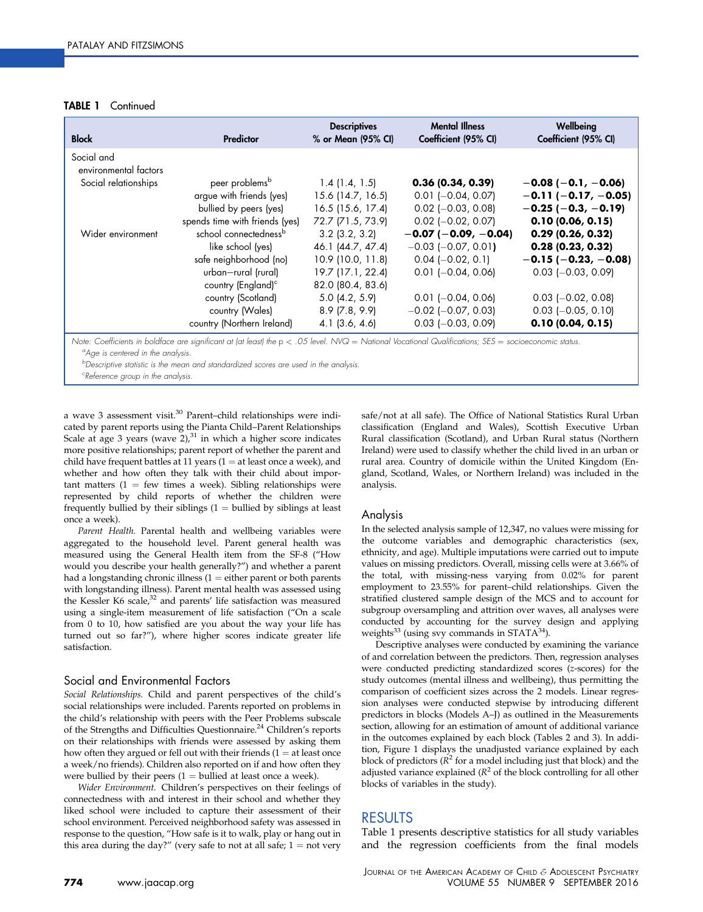#### TABLE 1 Continued

| <b>Block</b>                                  | Predictor                                                                                                                                               | <b>Descriptives</b><br>% or Mean (95% CI) | <b>Mental Illness</b><br>Coefficient (95% CI) | Wellbeing<br>Coefficient (95% CI) |
|-----------------------------------------------|---------------------------------------------------------------------------------------------------------------------------------------------------------|-------------------------------------------|-----------------------------------------------|-----------------------------------|
| Social and<br>environmental factors           |                                                                                                                                                         |                                           |                                               |                                   |
| Social relationships                          | peer problems <sup>b</sup>                                                                                                                              | 1.4(1.4, 1.5)                             | 0.36(0.34, 0.39)                              | $-0.08$ ( $-0.1$ , $-0.06$ )      |
|                                               | argue with friends (yes)                                                                                                                                | 15.6 (14.7, 16.5)                         | $0.01$ (-0.04, 0.07)                          | $-0.11(-0.17, -0.05)$             |
|                                               | bullied by peers (yes)                                                                                                                                  | $16.5$ (15.6, 17.4)                       | $0.02$ (-0.03, 0.08)                          | $-0.25$ ( $-0.3$ , $-0.19$ )      |
|                                               | spends time with friends (yes)                                                                                                                          | 72.7 (71.5, 73.9)                         | $0.02$ (-0.02, 0.07)                          | 0.10(0.06, 0.15)                  |
| Wider environment                             | school connectedness <sup>b</sup>                                                                                                                       | $3.2$ $(3.2, 3.2)$                        | $-0.07$ ( $-0.09$ , $-0.04$ )                 | 0.29(0.26, 0.32)                  |
|                                               | like school (yes)                                                                                                                                       | 46.1 (44.7, 47.4)                         | $-0.03$ $(-0.07, 0.01)$                       | 0.28(0.23, 0.32)                  |
|                                               | safe neighborhood (no)                                                                                                                                  | 10.9 (10.0, 11.8)                         | $0.04$ (-0.02, 0.1)                           | $-0.15(-0.23, -0.08)$             |
|                                               | urban-rural (rural)                                                                                                                                     | 19.7 (17.1, 22.4)                         | $0.01$ (-0.04, 0.06)                          | $0.03$ (-0.03, 0.09)              |
|                                               | country (England) <sup>c</sup>                                                                                                                          | 82.0 (80.4, 83.6)                         |                                               |                                   |
|                                               | country (Scotland)                                                                                                                                      | $5.0$ (4.2, 5.9)                          | $0.01$ (-0.04, 0.06)                          | $0.03$ (-0.02, 0.08)              |
|                                               | country (Wales)                                                                                                                                         | $8.9$ (7.8, 9.9)                          | $-0.02$ ( $-0.07$ , 0.03)                     | $0.03$ (-0.05, 0.10)              |
|                                               | country (Northern Ireland)                                                                                                                              | $4.1$ (3.6, 4.6)                          | $0.03$ (-0.03, 0.09)                          | 0.10(0.04, 0.15)                  |
| <sup>"</sup> Age is centered in the analysis. | Note: Coefficients in boldface are significant at (at least) the $p < .05$ level. NVQ = National Vocational Qualifications; SES = socioeconomic status. |                                           |                                               |                                   |

<sup>b</sup>Descriptive statistic is the mean and standardized scores are used in the analysis.

<sup>c</sup>Reference group in the analysis.

a wave 3 assessment visit.[30](#page-11-0) Parent–child relationships were indicated by parent reports using the Pianta Child–Parent Relationships Scale at age 3 years (wave  $2$ ),<sup>[31](#page-11-0)</sup> in which a higher score indicates more positive relationships; parent report of whether the parent and child have frequent battles at 11 years ( $1 =$  at least once a week), and whether and how often they talk with their child about important matters  $(1 = few times a week)$ . Sibling relationships were represented by child reports of whether the children were frequently bullied by their siblings  $(1 -$  bullied by siblings at least once a week).

Parent Health. Parental health and wellbeing variables were aggregated to the household level. Parent general health was measured using the General Health item from the SF-8 ("How would you describe your health generally?") and whether a parent had a longstanding chronic illness  $(1 =$  either parent or both parents with longstanding illness). Parent mental health was assessed using the Kessler K6 scale,<sup>[32](#page-11-0)</sup> and parents' life satisfaction was measured using a single-item measurement of life satisfaction ("On a scale from 0 to 10, how satisfied are you about the way your life has turned out so far?"), where higher scores indicate greater life satisfaction.

#### Social and Environmental Factors

Social Relationships. Child and parent perspectives of the child's social relationships were included. Parents reported on problems in the child's relationship with peers with the Peer Problems subscale of the Strengths and Difficulties Questionnaire.<sup>[24](#page-11-0)</sup> Children's reports on their relationships with friends were assessed by asking them how often they argued or fell out with their friends  $(1 = at least once$ a week/no friends). Children also reported on if and how often they were bullied by their peers  $(1 - \text{bullied at least once a week}).$ 

Wider Environment. Children's perspectives on their feelings of connectedness with and interest in their school and whether they liked school were included to capture their assessment of their school environment. Perceived neighborhood safety was assessed in response to the question, "How safe is it to walk, play or hang out in this area during the day?" (very safe to not at all safe;  $1 = not$  very safe/not at all safe). The Office of National Statistics Rural Urban classification (England and Wales), Scottish Executive Urban Rural classification (Scotland), and Urban Rural status (Northern Ireland) were used to classify whether the child lived in an urban or rural area. Country of domicile within the United Kingdom (England, Scotland, Wales, or Northern Ireland) was included in the analysis.

#### Analysis

In the selected analysis sample of 12,347, no values were missing for the outcome variables and demographic characteristics (sex, ethnicity, and age). Multiple imputations were carried out to impute values on missing predictors. Overall, missing cells were at 3.66% of the total, with missing-ness varying from 0.02% for parent employment to 23.55% for parent–child relationships. Given the stratified clustered sample design of the MCS and to account for subgroup oversampling and attrition over waves, all analyses were conducted by accounting for the survey design and applying weights $33$  (using svy commands in STATA $34$ ).

Descriptive analyses were conducted by examining the variance of and correlation between the predictors. Then, regression analyses were conducted predicting standardized scores (z-scores) for the study outcomes (mental illness and wellbeing), thus permitting the comparison of coefficient sizes across the 2 models. Linear regression analyses were conducted stepwise by introducing different predictors in blocks (Models A–J) as outlined in the Measurements section, allowing for an estimation of amount of additional variance in the outcomes explained by each block ([Tables 2](#page-4-0) and [3](#page-6-0)). In addition, [Figure 1](#page-8-0) displays the unadjusted variance explained by each block of predictors ( $R^2$  for a model including just that block) and the adjusted variance explained ( $R^2$  of the block controlling for all other blocks of variables in the study).

## **RESULTS**

[Table 1](#page-2-0) presents descriptive statistics for all study variables and the regression coefficients from the final models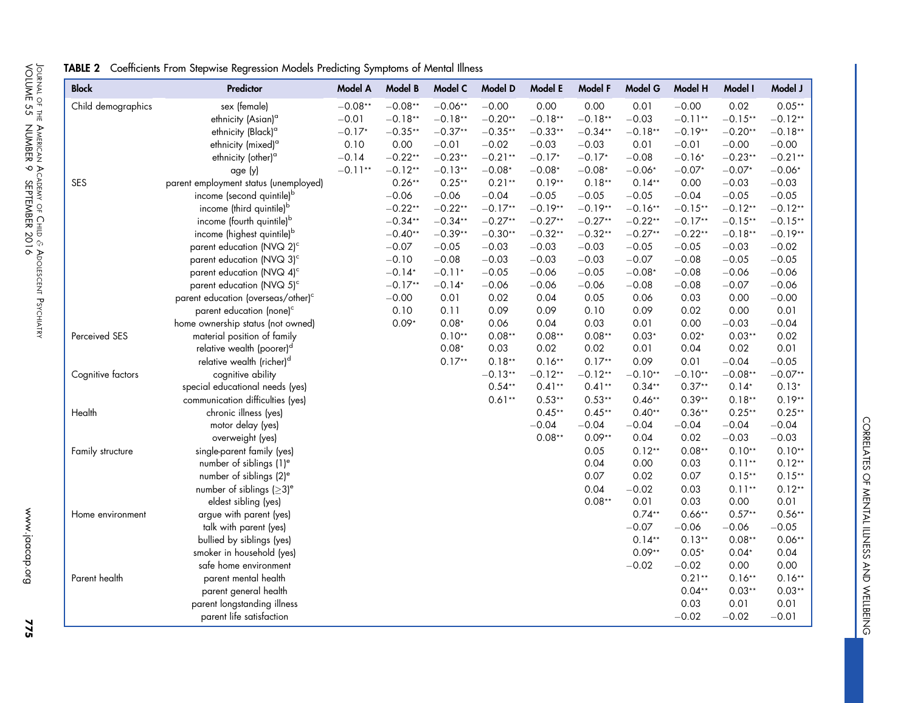| <b>Block</b>       | Predictor                                      | Model A   | Model B   | Model C   | Model D   | Model E   | Model F   | Model G   | Model H   | Model I   | Model J   |
|--------------------|------------------------------------------------|-----------|-----------|-----------|-----------|-----------|-----------|-----------|-----------|-----------|-----------|
| Child demographics | sex (female)                                   | $-0.08**$ | $-0.08**$ | $-0.06**$ | $-0.00$   | 0.00      | 0.00      | 0.01      | $-0.00$   | 0.02      | $0.05**$  |
|                    | ethnicity (Asian) <sup>a</sup>                 | $-0.01$   | $-0.18**$ | $-0.18**$ | $-0.20**$ | $-0.18**$ | $-0.18**$ | $-0.03$   | $-0.11**$ | $-0.15**$ | $-0.12**$ |
|                    | ethnicity (Black) <sup>a</sup>                 | $-0.17*$  | $-0.35**$ | $-0.37**$ | $-0.35**$ | $-0.33**$ | $-0.34**$ | $-0.18**$ | $-0.19**$ | $-0.20**$ | $-0.18**$ |
|                    | ethnicity (mixed) <sup>a</sup>                 | 0.10      | 0.00      | $-0.01$   | $-0.02$   | $-0.03$   | $-0.03$   | 0.01      | $-0.01$   | $-0.00$   | $-0.00$   |
|                    | ethnicity (other) <sup>a</sup>                 | $-0.14$   | $-0.22**$ | $-0.23**$ | $-0.21**$ | $-0.17*$  | $-0.17*$  | $-0.08$   | $-0.16*$  | $-0.23**$ | $-0.21**$ |
|                    | age (y)                                        | $-0.11**$ | $-0.12**$ | $-0.13**$ | $-0.08*$  | $-0.08*$  | $-0.08*$  | $-0.06*$  | $-0.07*$  | $-0.07*$  | $-0.06*$  |
| SES                | parent employment status (unemployed)          |           | $0.26**$  | $0.25**$  | $0.21**$  | $0.19**$  | $0.18**$  | $0.14**$  | 0.00      | $-0.03$   | $-0.03$   |
|                    | income (second quintile) <sup>b</sup>          |           | $-0.06$   | $-0.06$   | $-0.04$   | $-0.05$   | $-0.05$   | $-0.05$   | $-0.04$   | $-0.05$   | $-0.05$   |
|                    | income (third quintile) <sup>b</sup>           |           | $-0.22**$ | $-0.22**$ | $-0.17**$ | $-0.19**$ | $-0.19**$ | $-0.16**$ | $-0.15**$ | $-0.12**$ | $-0.12**$ |
|                    | income (fourth quintile) <sup>b</sup>          |           | $-0.34**$ | $-0.34**$ | $-0.27**$ | $-0.27**$ | $-0.27**$ | $-0.22**$ | $-0.17**$ | $-0.15**$ | $-0.15**$ |
|                    | income (highest quintile) <sup>b</sup>         |           | $-0.40**$ | $-0.39**$ | $-0.30**$ | $-0.32**$ | $-0.32**$ | $-0.27**$ | $-0.22**$ | $-0.18**$ | $-0.19**$ |
|                    | parent education (NVQ 2) <sup>c</sup>          |           | $-0.07$   | $-0.05$   | $-0.03$   | $-0.03$   | $-0.03$   | $-0.05$   | $-0.05$   | $-0.03$   | $-0.02$   |
|                    | parent education (NVQ 3) <sup>c</sup>          |           | $-0.10$   | $-0.08$   | $-0.03$   | $-0.03$   | $-0.03$   | $-0.07$   | $-0.08$   | $-0.05$   | $-0.05$   |
|                    | parent education (NVQ 4) <sup>c</sup>          |           | $-0.14*$  | $-0.11*$  | $-0.05$   | $-0.06$   | $-0.05$   | $-0.08*$  | $-0.08$   | $-0.06$   | $-0.06$   |
|                    | parent education (NVQ 5) <sup>c</sup>          |           | $-0.17**$ | $-0.14*$  | $-0.06$   | $-0.06$   | $-0.06$   | $-0.08$   | $-0.08$   | $-0.07$   | $-0.06$   |
|                    | parent education (overseas/other) <sup>c</sup> |           | $-0.00$   | 0.01      | 0.02      | 0.04      | 0.05      | 0.06      | 0.03      | 0.00      | $-0.00$   |
|                    | parent education (none) <sup>c</sup>           |           | 0.10      | 0.11      | 0.09      | 0.09      | 0.10      | 0.09      | 0.02      | 0.00      | 0.01      |
|                    | home ownership status (not owned)              |           | $0.09*$   | $0.08*$   | 0.06      | 0.04      | 0.03      | 0.01      | 0.00      | $-0.03$   | $-0.04$   |
| Perceived SES      | material position of family                    |           |           | $0.10**$  | $0.08**$  | $0.08**$  | $0.08**$  | $0.03*$   | $0.02*$   | $0.03**$  | 0.02      |
|                    | relative wealth (poorer) <sup>d</sup>          |           |           | $0.08*$   | 0.03      | 0.02      | 0.02      | 0.01      | 0.04      | 0.02      | 0.01      |
|                    | relative wealth (richer) <sup>d</sup>          |           |           | $0.17**$  | $0.18**$  | $0.16**$  | $0.17**$  | 0.09      | 0.01      | $-0.04$   | $-0.05$   |
| Cognitive factors  | cognitive ability                              |           |           |           | $-0.13**$ | $-0.12**$ | $-0.12**$ | $-0.10**$ | $-0.10**$ | $-0.08**$ | $-0.07**$ |
|                    | special educational needs (yes)                |           |           |           | $0.54**$  | $0.41**$  | $0.41**$  | $0.34**$  | $0.37**$  | $0.14*$   | $0.13*$   |
|                    | communication difficulties (yes)               |           |           |           | $0.61**$  | $0.53**$  | $0.53**$  | $0.46**$  | $0.39**$  | $0.18**$  | $0.19**$  |
| Health             | chronic illness (yes)                          |           |           |           |           | $0.45**$  | $0.45**$  | $0.40**$  | $0.36**$  | $0.25**$  | $0.25**$  |
|                    | motor delay (yes)                              |           |           |           |           | $-0.04$   | $-0.04$   | $-0.04$   | $-0.04$   | $-0.04$   | $-0.04$   |
|                    | overweight (yes)                               |           |           |           |           | $0.08**$  | $0.09**$  | 0.04      | 0.02      | $-0.03$   | $-0.03$   |
| Family structure   | single-parent family (yes)                     |           |           |           |           |           | 0.05      | $0.12**$  | $0.08**$  | $0.10**$  | $0.10**$  |
|                    | number of siblings (1) <sup>e</sup>            |           |           |           |           |           | 0.04      | 0.00      | 0.03      | $0.11**$  | $0.12**$  |
|                    | number of siblings (2) <sup>e</sup>            |           |           |           |           |           | 0.07      | 0.02      | 0.07      | $0.15**$  | $0.15**$  |
|                    | number of siblings $( \geq 3)$ <sup>e</sup>    |           |           |           |           |           | 0.04      | $-0.02$   | 0.03      | $0.11**$  | $0.12**$  |
|                    | eldest sibling (yes)                           |           |           |           |           |           | $0.08**$  | 0.01      | 0.03      | 0.00      | 0.01      |
| Home environment   | argue with parent (yes)                        |           |           |           |           |           |           | $0.74**$  | $0.66**$  | $0.57**$  | $0.56**$  |
|                    | talk with parent (yes)                         |           |           |           |           |           |           | $-0.07$   | $-0.06$   | $-0.06$   | $-0.05$   |
|                    | bullied by siblings (yes)                      |           |           |           |           |           |           | $0.14**$  | $0.13**$  | $0.08**$  | $0.06**$  |
|                    | smoker in household (yes)                      |           |           |           |           |           |           | $0.09**$  | $0.05*$   | $0.04*$   | 0.04      |
|                    | safe home environment                          |           |           |           |           |           |           | $-0.02$   | $-0.02$   | 0.00      | 0.00      |
| Parent health      | parent mental health                           |           |           |           |           |           |           |           | $0.21**$  | $0.16**$  | $0.16**$  |
|                    | parent general health                          |           |           |           |           |           |           |           | $0.04**$  | $0.03**$  | $0.03**$  |
|                    | parent longstanding illness                    |           |           |           |           |           |           |           | 0.03      | 0.01      | 0.01      |
|                    | parent life satisfaction                       |           |           |           |           |           |           |           | $-0.02$   | $-0.02$   | $-0.01$   |
|                    |                                                |           |           |           |           |           |           |           |           |           |           |

## <span id="page-4-0"></span>TABLE 2 Coefficients From Stepwise Regression Models Predicting Symptoms of Mental Illness

[www.jaacap.org](http://www.jaacap.org)

www.jaacap.org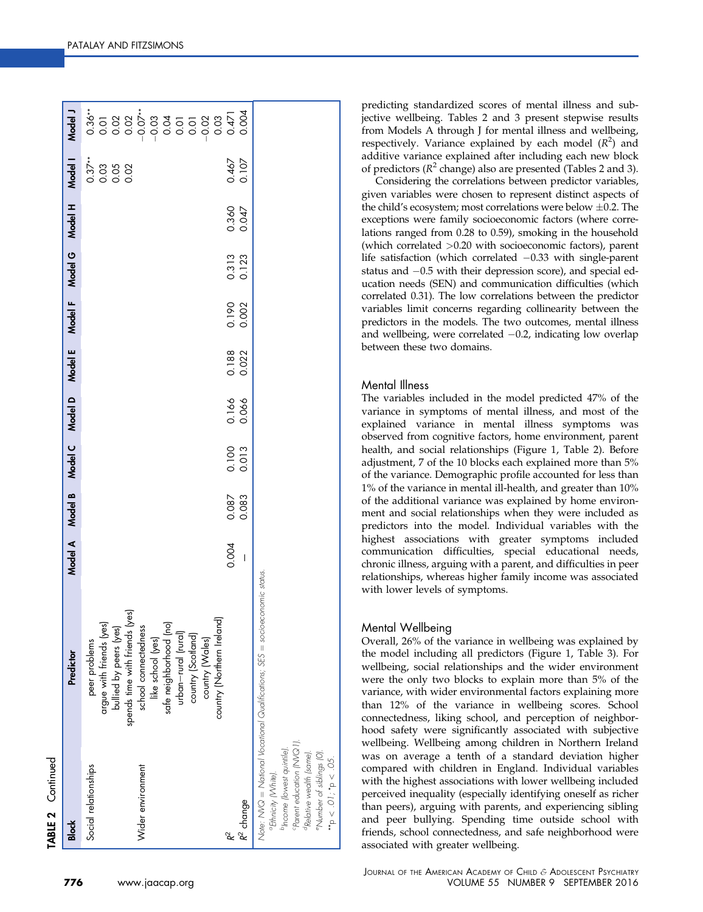| <b>Block</b>                                                                                                                                                                                                         | Predictor                                                                                                                                          | Model A                           | Model B        |                | Model C Model D | Model E        | Model F        | Model G Model H |                | Model I                                        | Model J |
|----------------------------------------------------------------------------------------------------------------------------------------------------------------------------------------------------------------------|----------------------------------------------------------------------------------------------------------------------------------------------------|-----------------------------------|----------------|----------------|-----------------|----------------|----------------|-----------------|----------------|------------------------------------------------|---------|
| Social relationships<br>Wider environment                                                                                                                                                                            | spends time with friends (yes)<br>argue with friends (yes)<br>school connectedness<br>bullied by peers (yes)<br>like school (yes)<br>peer problems |                                   |                |                |                 |                |                |                 |                | $\ddot{\tilde{S}}$ 8 8 8<br>0 0 0 0<br>0 0 0 0 |         |
|                                                                                                                                                                                                                      | safe neighborhood (no)<br>country (Northern Ireland<br>urban-rural (rural)<br>country (Scotland)<br>country (Wales)                                |                                   |                |                |                 |                |                |                 |                |                                                |         |
| $R^2$ change<br>š,                                                                                                                                                                                                   |                                                                                                                                                    | 0.004<br>$\overline{\phantom{a}}$ | 0.087<br>0.083 | 0.100<br>0.013 | 0.166<br>0.066  | 0.188<br>0.022 | 0.190<br>0.002 | 0.313<br>0.123  | 0.360<br>0.047 | 0.467<br>0.107                                 |         |
| Parent education (NVQ1).<br><sup>b</sup> Income (lowest quintile).<br>eNumber of siblings (O).<br><sup>d</sup> Relative wealth (same).<br>$m_{\rm p} < .01$ , $m_{\rm p} < .05$ .<br><sup>o</sup> Ethnicity (White). | Note: NVQ = National Vocational Qualifications; SES = socioeconomic status                                                                         |                                   |                |                |                 |                |                |                 |                |                                                |         |

predicting standardized scores of mental illness and subjective wellbeing. [Tables 2](#page-4-0) and [3](#page-6-0) present stepwise results from Models A through J for mental illness and wellbeing, respectively. Variance explained by each model  $(R^2)$  and additive variance explained after including each new block of predictors ( $R^2$  change) also are presented ([Tables 2](#page-4-0) and [3\)](#page-6-0). Considering the correlations between predictor variables,

given variables were chosen to represent distinct aspects of the child's ecosystem; most correlations were below  $\pm 0.2$ . The exceptions were family socioeconomic factors (where correlations ranged from 0.28 to 0.59), smoking in the household (which correlated >0.20 with socioeconomic factors), parent life satisfaction (which correlated  $-0.33$  with single-parent status and  $-0.5$  with their depression score), and special education needs (SEN) and communication difficulties (which correlated 0.31). The low correlations between the predictor variables limit concerns regarding collinearity between the predictors in the models. The two outcomes, mental illness and wellbeing, were correlated  $-0.2$ , indicating low overlap between these two domains.

## Mental Illness

The variables included in the model predicted 47% of the variance in symptoms of mental illness, and most of the explained variance in mental illness symptoms was observed from cognitive factors, home environment, parent health, and social relationships ([Figure 1,](#page-8-0) [Table 2\)](#page-4-0). Before adjustment, 7 of the 10 blocks each explained more than 5% of the variance. Demographic profile accounted for less than 1% of the variance in mental ill-health, and greater than 10% of the additional variance was explained by home environment and social relationships when they were included as predictors into the model. Individual variables with the highest associations with greater symptoms included communication difficulties, special educational needs, chronic illness, arguing with a parent, and difficulties in peer relationships, whereas higher family income was associated with lower levels of symptoms.

## Mental Wellbeing

Overall, 26% of the variance in wellbeing was explained by the model including all predictors [\(Figure 1,](#page-8-0) [Table 3\)](#page-6-0). For wellbeing, social relationships and the wider environment were the only two blocks to explain more than 5% of the variance, with wider environmental factors explaining more than 12% of the variance in wellbeing scores. School connectedness, liking school, and perception of neighborhood safety were significantly associated with subjective wellbeing. Wellbeing among children in Northern Ireland was on average a tenth of a standard deviation higher compared with children in England. Individual variables with the highest associations with lower wellbeing included perceived inequality (especially identifying oneself as richer than peers), arguing with parents, and experiencing sibling and peer bullying. Spending time outside school with friends, school connectedness, and safe neighborhood were associated with greater wellbeing.

TABLE 2

Continued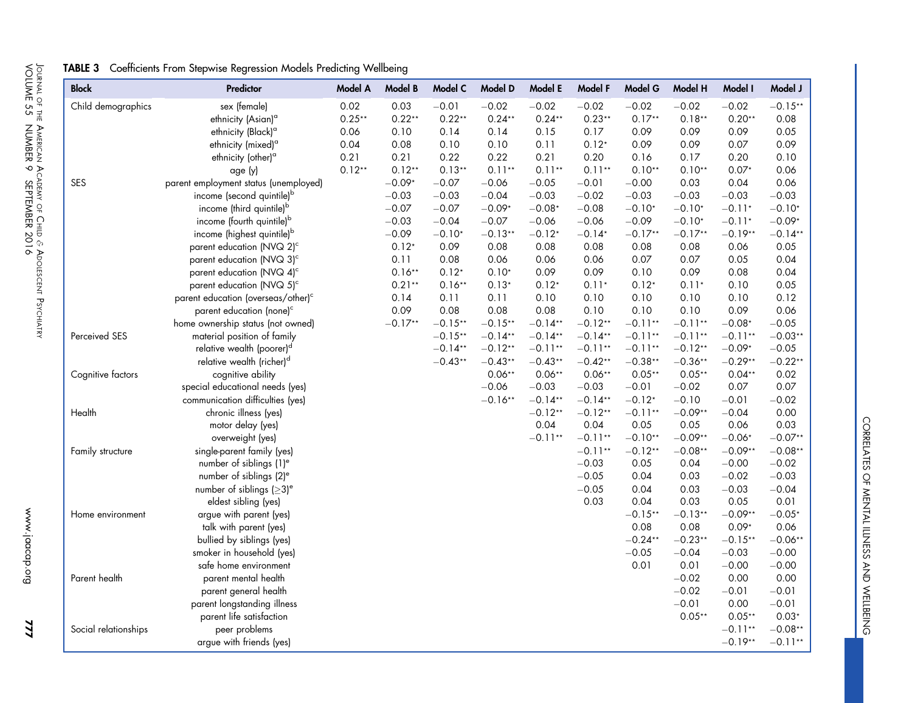## <span id="page-6-0"></span>TABLE 3 Coefficients From Stepwise Regression Models Predicting Wellbeing

| <b>Block</b>         | Predictor                                      | Model A  | Model B   | Model C   | Model D   | Model E   | Model F   | Model G   | Model H   | Model I   | Model J   |
|----------------------|------------------------------------------------|----------|-----------|-----------|-----------|-----------|-----------|-----------|-----------|-----------|-----------|
| Child demographics   | sex (female)                                   | 0.02     | 0.03      | $-0.01$   | $-0.02$   | $-0.02$   | $-0.02$   | $-0.02$   | $-0.02$   | $-0.02$   | $-0.15**$ |
|                      | ethnicity (Asian) <sup>a</sup>                 | $0.25**$ | $0.22**$  | $0.22**$  | $0.24**$  | $0.24**$  | $0.23**$  | $0.17**$  | $0.18**$  | $0.20**$  | 0.08      |
|                      | ethnicity (Black) <sup>a</sup>                 | 0.06     | 0.10      | 0.14      | 0.14      | 0.15      | 0.17      | 0.09      | 0.09      | 0.09      | 0.05      |
|                      | ethnicity (mixed) <sup>a</sup>                 | 0.04     | 0.08      | 0.10      | 0.10      | 0.11      | $0.12*$   | 0.09      | 0.09      | 0.07      | 0.09      |
|                      | ethnicity (other) <sup>a</sup>                 | 0.21     | 0.21      | 0.22      | 0.22      | 0.21      | 0.20      | 0.16      | 0.17      | 0.20      | 0.10      |
|                      | age (y)                                        | $0.12**$ | $0.12**$  | $0.13**$  | $0.11**$  | $0.11**$  | $0.11**$  | $0.10**$  | $0.10**$  | $0.07*$   | 0.06      |
| SES                  | parent employment status (unemployed)          |          | $-0.09*$  | $-0.07$   | $-0.06$   | $-0.05$   | $-0.01$   | $-0.00$   | 0.03      | 0.04      | 0.06      |
|                      | income (second quintile) <sup>b</sup>          |          | $-0.03$   | $-0.03$   | $-0.04$   | $-0.03$   | $-0.02$   | $-0.03$   | $-0.03$   | $-0.03$   | $-0.03$   |
|                      | income (third quintile) <sup>b</sup>           |          | $-0.07$   | $-0.07$   | $-0.09*$  | $-0.08*$  | $-0.08$   | $-0.10*$  | $-0.10*$  | $-0.11*$  | $-0.10*$  |
|                      | income (fourth quintile) <sup>b</sup>          |          | $-0.03$   | $-0.04$   | $-0.07$   | $-0.06$   | $-0.06$   | $-0.09$   | $-0.10*$  | $-0.11*$  | $-0.09*$  |
|                      | income (highest quintile) <sup>b</sup>         |          | $-0.09$   | $-0.10*$  | $-0.13**$ | $-0.12*$  | $-0.14*$  | $-0.17**$ | $-0.17**$ | $-0.19**$ | $-0.14**$ |
|                      | parent education (NVQ 2) <sup>c</sup>          |          | $0.12*$   | 0.09      | 0.08      | 0.08      | 0.08      | 0.08      | 0.08      | 0.06      | 0.05      |
|                      | parent education (NVQ 3) <sup>c</sup>          |          | 0.11      | 0.08      | 0.06      | 0.06      | 0.06      | 0.07      | 0.07      | 0.05      | 0.04      |
|                      | parent education (NVQ 4) <sup>c</sup>          |          | $0.16**$  | $0.12*$   | $0.10*$   | 0.09      | 0.09      | 0.10      | 0.09      | 0.08      | 0.04      |
|                      | parent education (NVQ 5) <sup>c</sup>          |          | $0.21**$  | $0.16**$  | $0.13*$   | $0.12*$   | $0.11*$   | $0.12*$   | $0.11*$   | 0.10      | 0.05      |
|                      | parent education (overseas/other) <sup>c</sup> |          | 0.14      | 0.11      | 0.11      | 0.10      | 0.10      | 0.10      | 0.10      | 0.10      | 0.12      |
|                      | parent education (none) <sup>c</sup>           |          | 0.09      | 0.08      | 0.08      | 0.08      | 0.10      | 0.10      | 0.10      | 0.09      | 0.06      |
|                      | home ownership status (not owned)              |          | $-0.17**$ | $-0.15**$ | $-0.15**$ | $-0.14**$ | $-0.12**$ | $-0.11**$ | $-0.11**$ | $-0.08*$  | $-0.05$   |
| Perceived SES        | material position of family                    |          |           | $-0.15**$ | $-0.14**$ | $-0.14**$ | $-0.14**$ | $-0.11**$ | $-0.11**$ | $-0.11**$ | $-0.03**$ |
|                      | relative wealth (poorer) <sup>d</sup>          |          |           | $-0.14**$ | $-0.12**$ | $-0.11**$ | $-0.11**$ | $-0.11**$ | $-0.12**$ | $-0.09*$  | $-0.05$   |
|                      | relative wealth (richer) <sup>d</sup>          |          |           | $-0.43**$ | $-0.43**$ | $-0.43**$ | $-0.42**$ | $-0.38**$ | $-0.36**$ | $-0.29**$ | $-0.22**$ |
| Cognitive factors    | cognitive ability                              |          |           |           | $0.06**$  | $0.06**$  | $0.06**$  | $0.05**$  | $0.05**$  | $0.04**$  | 0.02      |
|                      | special educational needs (yes)                |          |           |           | $-0.06$   | $-0.03$   | $-0.03$   | $-0.01$   | $-0.02$   | 0.07      | 0.07      |
|                      | communication difficulties (yes)               |          |           |           | $-0.16**$ | $-0.14**$ | $-0.14**$ | $-0.12*$  | $-0.10$   | $-0.01$   | $-0.02$   |
| Health               | chronic illness (yes)                          |          |           |           |           | $-0.12**$ | $-0.12**$ | $-0.11**$ | $-0.09**$ | $-0.04$   | 0.00      |
|                      | motor delay (yes)                              |          |           |           |           | 0.04      | 0.04      | 0.05      | 0.05      | 0.06      | 0.03      |
|                      | overweight (yes)                               |          |           |           |           | $-0.11**$ | $-0.11**$ | $-0.10**$ | $-0.09**$ | $-0.06*$  | $-0.07**$ |
| Family structure     | single-parent family (yes)                     |          |           |           |           |           | $-0.11**$ | $-0.12**$ | $-0.08**$ | $-0.09**$ | $-0.08**$ |
|                      | number of siblings (1) <sup>e</sup>            |          |           |           |           |           | $-0.03$   | 0.05      | 0.04      | $-0.00$   | $-0.02$   |
|                      | number of siblings (2) <sup>e</sup>            |          |           |           |           |           | $-0.05$   | 0.04      | 0.03      | $-0.02$   | $-0.03$   |
|                      | number of siblings $( \geq 3)$ <sup>e</sup>    |          |           |           |           |           | $-0.05$   | 0.04      | 0.03      | $-0.03$   | $-0.04$   |
|                      | eldest sibling (yes)                           |          |           |           |           |           | 0.03      | 0.04      | 0.03      | 0.05      | 0.01      |
| Home environment     | argue with parent (yes)                        |          |           |           |           |           |           | $-0.15**$ | $-0.13**$ | $-0.09**$ | $-0.05*$  |
|                      | talk with parent (yes)                         |          |           |           |           |           |           | 0.08      | 0.08      | $0.09*$   | 0.06      |
|                      | bullied by siblings (yes)                      |          |           |           |           |           |           | $-0.24**$ | $-0.23**$ | $-0.15**$ | $-0.06**$ |
|                      | smoker in household (yes)                      |          |           |           |           |           |           | $-0.05$   | $-0.04$   | $-0.03$   | $-0.00$   |
|                      | safe home environment                          |          |           |           |           |           |           | 0.01      | 0.01      | $-0.00$   | $-0.00$   |
| Parent health        | parent mental health                           |          |           |           |           |           |           |           | $-0.02$   | 0.00      | 0.00      |
|                      | parent general health                          |          |           |           |           |           |           |           | $-0.02$   | $-0.01$   | $-0.01$   |
|                      | parent longstanding illness                    |          |           |           |           |           |           |           | $-0.01$   | 0.00      | $-0.01$   |
|                      | parent life satisfaction                       |          |           |           |           |           |           |           | $0.05**$  | $0.05**$  | $0.03*$   |
| Social relationships | peer problems                                  |          |           |           |           |           |           |           |           | $-0.11**$ | $-0.08**$ |
|                      | argue with friends (yes)                       |          |           |           |           |           |           |           |           | $-0.19**$ | $-0.11**$ |

777

[www.jaacap.org](http://www.jaacap.org)

Mww.jaacap.org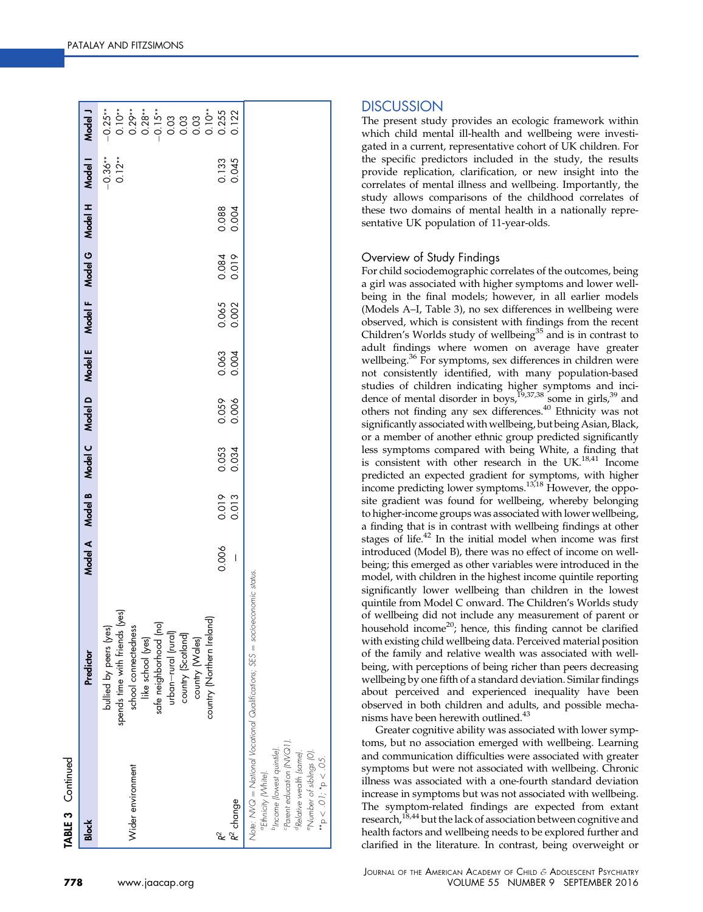| TABLE 3 Continued                      |                                                                                                                                                                                                                               |                          |         |                |                |         |                |         |         |                     |                                                                                                                                 |
|----------------------------------------|-------------------------------------------------------------------------------------------------------------------------------------------------------------------------------------------------------------------------------|--------------------------|---------|----------------|----------------|---------|----------------|---------|---------|---------------------|---------------------------------------------------------------------------------------------------------------------------------|
| <b>Block</b>                           | Predictor                                                                                                                                                                                                                     | Model A                  | Model B | Model C        | Model D        | Model E | Model F        | Model G | Model H | Model I             | Model J                                                                                                                         |
| Wider environment                      | spends time with friends (yes)<br>country (Northern Ireland)<br>school connectedness<br>safe neighborhood (no)<br>bullied by peers (yes)<br>urban-rural (rural)<br>country (Scotland)<br>like school (yes)<br>country (Wales) |                          |         |                |                |         |                |         |         | $-0.36**$<br>0.12** | $-0.25$<br>$-0.028$<br>$-0.029$<br>$-0.039$<br>$-0.039$<br>$-0.039$<br>$-0.003$<br>$-0.003$<br>$-0.003$<br>$-0.003$<br>$-0.003$ |
| R <sup>2</sup>                         |                                                                                                                                                                                                                               | 0.006                    | 0.013   | 0.053<br>0.034 | 0.059<br>0.006 | 0.063   | 0.065<br>0.002 | 0.019   | 0.088   | 0.133<br>0.045      |                                                                                                                                 |
| $R^2$ change                           |                                                                                                                                                                                                                               | $\overline{\phantom{a}}$ |         |                |                |         |                |         |         |                     |                                                                                                                                 |
|                                        | Note: NVQ = National Vocational Qualifications; $SES = socioeconomic \; status$                                                                                                                                               |                          |         |                |                |         |                |         |         |                     |                                                                                                                                 |
| <sup>o</sup> Ethnicity (White).        |                                                                                                                                                                                                                               |                          |         |                |                |         |                |         |         |                     |                                                                                                                                 |
| <sup>b</sup> Income (lowest quintile). |                                                                                                                                                                                                                               |                          |         |                |                |         |                |         |         |                     |                                                                                                                                 |
| "Parent education (NVQ1).              |                                                                                                                                                                                                                               |                          |         |                |                |         |                |         |         |                     |                                                                                                                                 |
| <sup>d</sup> Relative wealth (same).   |                                                                                                                                                                                                                               |                          |         |                |                |         |                |         |         |                     |                                                                                                                                 |
| <sup>e</sup> Number of siblings (O).   |                                                                                                                                                                                                                               |                          |         |                |                |         |                |         |         |                     |                                                                                                                                 |
| $m_p < .01$ ; $n_p < .05$ .            |                                                                                                                                                                                                                               |                          |         |                |                |         |                |         |         |                     |                                                                                                                                 |

## **DISCUSSION**

The present study provides an ecologic framework within which child mental ill-health and wellbeing were investigated in a current, representative cohort of UK children. For the specific predictors included in the study, the results provide replication, clarification, or new insight into the correlates of mental illness and wellbeing. Importantly, the study allows comparisons of the childhood correlates of these two domains of mental health in a nationally representative UK population of 11-year-olds.

## Overview of Study Findings

For child sociodemographic correlates of the outcomes, being a girl was associated with higher symptoms and lower wellbeing in the final models; however, in all earlier models (Models A–I, [Table 3](#page-6-0)), no sex differences in wellbeing were observed, which is consistent with findings from the recent Children's Worlds study of wellbeing<sup>[35](#page-11-0)</sup> and is in contrast to adult findings where women on average have greater wellbeing.<sup>[36](#page-11-0)</sup> For symptoms, sex differences in children were not consistently identified, with many population-based studies of children indicating higher symptoms and inci-dence of mental disorder in boys,<sup>[19,37,38](#page-11-0)</sup> some in girls,<sup>39</sup> and others not finding any sex differences[.40](#page-11-0) Ethnicity was not significantly associated with wellbeing, but being Asian, Black, or a member of another ethnic group predicted significantly less symptoms compared with being White, a finding that is consistent with other research in the UK. $^{18,41}$  Income predicted an expected gradient for symptoms, with higher income predicting lower symptoms.<sup>[13,18](#page-11-0)</sup> However, the opposite gradient was found for wellbeing, whereby belonging to higher-income groups was associated with lower wellbeing, a finding that is in contrast with wellbeing findings at other stages of life.<sup>42</sup> In the initial model when income was first introduced (Model B), there was no effect of income on wellbeing; this emerged as other variables were introduced in the model, with children in the highest income quintile reporting significantly lower wellbeing than children in the lowest quintile from Model C onward. The Children's Worlds study of wellbeing did not include any measurement of parent or household income<sup>20</sup>; hence, this finding cannot be clarified with existing child wellbeing data. Perceived material position of the family and relative wealth was associated with wellbeing, with perceptions of being richer than peers decreasing wellbeing by one fifth of a standard deviation. Similar findings about perceived and experienced inequality have been observed in both children and adults, and possible mechanisms have been herewith outlined.<sup>43</sup>

Greater cognitive ability was associated with lower symptoms, but no association emerged with wellbeing. Learning and communication difficulties were associated with greater symptoms but were not associated with wellbeing. Chronic illness was associated with a one-fourth standard deviation increase in symptoms but was not associated with wellbeing. The symptom-related findings are expected from extant research,<sup>18,44</sup> but the lack of association between cognitive and health factors and wellbeing needs to be explored further and clarified in the literature. In contrast, being overweight or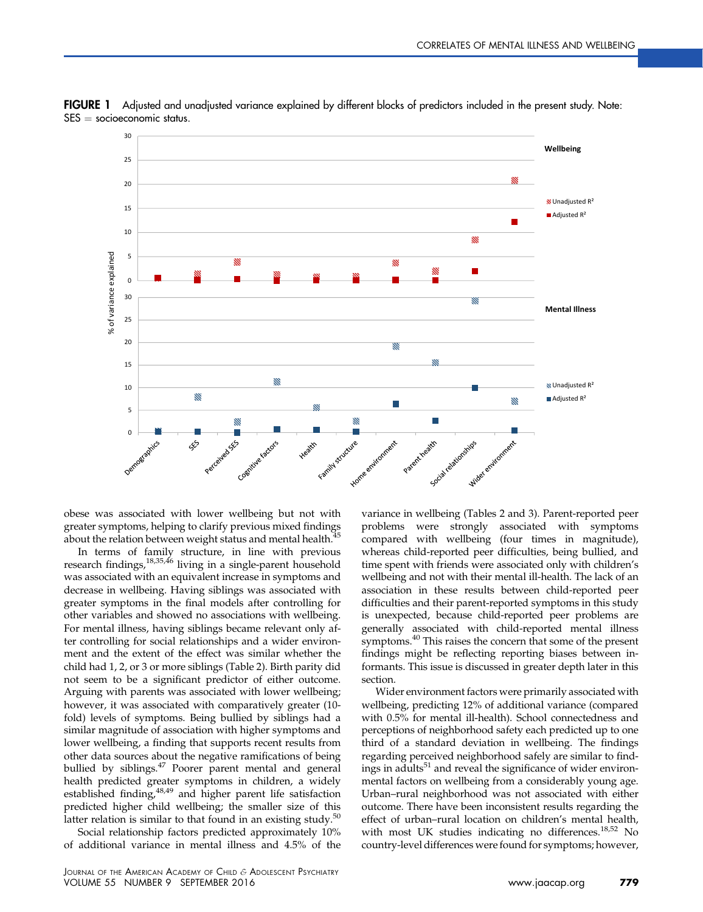

<span id="page-8-0"></span>FIGURE 1 Adjusted and unadjusted variance explained by different blocks of predictors included in the present study. Note:  $SES = socioeconomic status.$ 

obese was associated with lower wellbeing but not with greater symptoms, helping to clarify previous mixed findings about the relation between weight status and mental health.<sup>[45](#page-11-0)</sup>

In terms of family structure, in line with previous research findings,<sup>[18,35,46](#page-11-0)</sup> living in a single-parent household was associated with an equivalent increase in symptoms and decrease in wellbeing. Having siblings was associated with greater symptoms in the final models after controlling for other variables and showed no associations with wellbeing. For mental illness, having siblings became relevant only after controlling for social relationships and a wider environment and the extent of the effect was similar whether the child had 1, 2, or 3 or more siblings [\(Table 2\)](#page-4-0). Birth parity did not seem to be a significant predictor of either outcome. Arguing with parents was associated with lower wellbeing; however, it was associated with comparatively greater (10 fold) levels of symptoms. Being bullied by siblings had a similar magnitude of association with higher symptoms and lower wellbeing, a finding that supports recent results from other data sources about the negative ramifications of being bullied by siblings.<sup>[47](#page-11-0)</sup> Poorer parent mental and general health predicted greater symptoms in children, a widely established finding, <sup>[48,49](#page-11-0)</sup> and higher parent life satisfaction predicted higher child wellbeing; the smaller size of this latter relation is similar to that found in an existing study.<sup>[50](#page-11-0)</sup>

Social relationship factors predicted approximately 10% of additional variance in mental illness and 4.5% of the variance in wellbeing ([Tables 2](#page-4-0) and [3](#page-6-0)). Parent-reported peer problems were strongly associated with symptoms compared with wellbeing (four times in magnitude), whereas child-reported peer difficulties, being bullied, and time spent with friends were associated only with children's wellbeing and not with their mental ill-health. The lack of an association in these results between child-reported peer difficulties and their parent-reported symptoms in this study is unexpected, because child-reported peer problems are generally associated with child-reported mental illness symptoms.<sup>[40](#page-11-0)</sup> This raises the concern that some of the present findings might be reflecting reporting biases between informants. This issue is discussed in greater depth later in this section.

Wider environment factors were primarily associated with wellbeing, predicting 12% of additional variance (compared with 0.5% for mental ill-health). School connectedness and perceptions of neighborhood safety each predicted up to one third of a standard deviation in wellbeing. The findings regarding perceived neighborhood safely are similar to find-ings in adults<sup>[51](#page-11-0)</sup> and reveal the significance of wider environmental factors on wellbeing from a considerably young age. Urban–rural neighborhood was not associated with either outcome. There have been inconsistent results regarding the effect of urban–rural location on children's mental health, with most UK studies indicating no differences.<sup>[18,52](#page-11-0)</sup> No country-level differences were found for symptoms; however,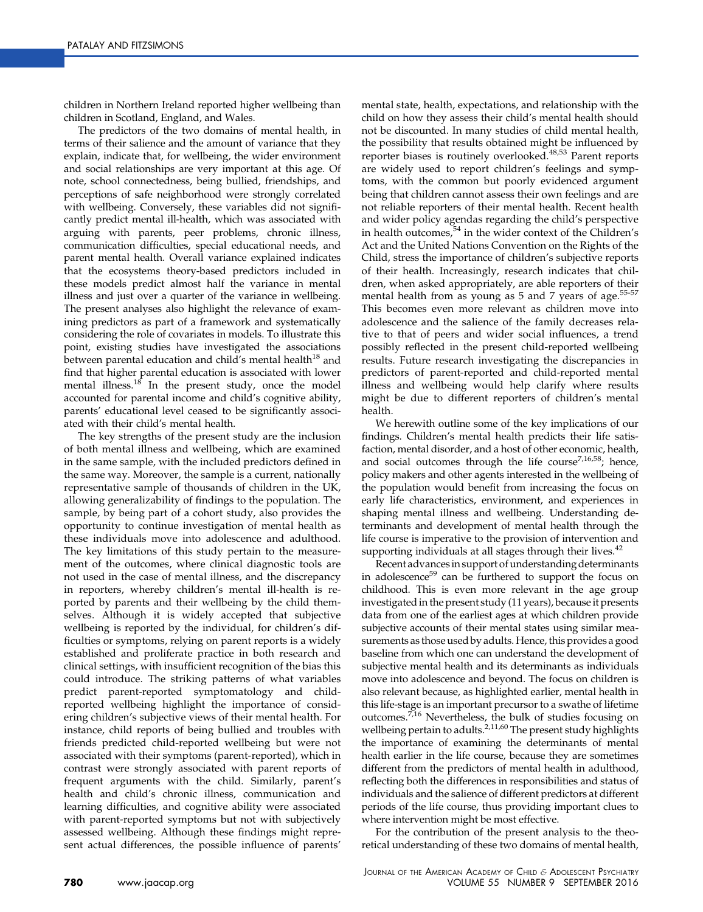children in Northern Ireland reported higher wellbeing than children in Scotland, England, and Wales.

The predictors of the two domains of mental health, in terms of their salience and the amount of variance that they explain, indicate that, for wellbeing, the wider environment and social relationships are very important at this age. Of note, school connectedness, being bullied, friendships, and perceptions of safe neighborhood were strongly correlated with wellbeing. Conversely, these variables did not significantly predict mental ill-health, which was associated with arguing with parents, peer problems, chronic illness, communication difficulties, special educational needs, and parent mental health. Overall variance explained indicates that the ecosystems theory-based predictors included in these models predict almost half the variance in mental illness and just over a quarter of the variance in wellbeing. The present analyses also highlight the relevance of examining predictors as part of a framework and systematically considering the role of covariates in models. To illustrate this point, existing studies have investigated the associations between parental education and child's mental health<sup>[18](#page-11-0)</sup> and find that higher parental education is associated with lower mental illness. $18$  In the present study, once the model accounted for parental income and child's cognitive ability, parents' educational level ceased to be significantly associated with their child's mental health.

The key strengths of the present study are the inclusion of both mental illness and wellbeing, which are examined in the same sample, with the included predictors defined in the same way. Moreover, the sample is a current, nationally representative sample of thousands of children in the UK, allowing generalizability of findings to the population. The sample, by being part of a cohort study, also provides the opportunity to continue investigation of mental health as these individuals move into adolescence and adulthood. The key limitations of this study pertain to the measurement of the outcomes, where clinical diagnostic tools are not used in the case of mental illness, and the discrepancy in reporters, whereby children's mental ill-health is reported by parents and their wellbeing by the child themselves. Although it is widely accepted that subjective wellbeing is reported by the individual, for children's difficulties or symptoms, relying on parent reports is a widely established and proliferate practice in both research and clinical settings, with insufficient recognition of the bias this could introduce. The striking patterns of what variables predict parent-reported symptomatology and childreported wellbeing highlight the importance of considering children's subjective views of their mental health. For instance, child reports of being bullied and troubles with friends predicted child-reported wellbeing but were not associated with their symptoms (parent-reported), which in contrast were strongly associated with parent reports of frequent arguments with the child. Similarly, parent's health and child's chronic illness, communication and learning difficulties, and cognitive ability were associated with parent-reported symptoms but not with subjectively assessed wellbeing. Although these findings might represent actual differences, the possible influence of parents' mental state, health, expectations, and relationship with the child on how they assess their child's mental health should not be discounted. In many studies of child mental health, the possibility that results obtained might be influenced by reporter biases is routinely overlooked.<sup>[48,53](#page-11-0)</sup> Parent reports are widely used to report children's feelings and symptoms, with the common but poorly evidenced argument being that children cannot assess their own feelings and are not reliable reporters of their mental health. Recent health and wider policy agendas regarding the child's perspective in health outcomes,<sup>[54](#page-11-0)</sup> in the wider context of the Children's Act and the United Nations Convention on the Rights of the Child, stress the importance of children's subjective reports of their health. Increasingly, research indicates that children, when asked appropriately, are able reporters of their mental health from as young as  $5$  and  $7$  years of age.<sup>[55-57](#page-11-0)</sup> This becomes even more relevant as children move into adolescence and the salience of the family decreases relative to that of peers and wider social influences, a trend possibly reflected in the present child-reported wellbeing results. Future research investigating the discrepancies in predictors of parent-reported and child-reported mental illness and wellbeing would help clarify where results might be due to different reporters of children's mental health.

We herewith outline some of the key implications of our findings. Children's mental health predicts their life satisfaction, mental disorder, and a host of other economic, health, and social outcomes through the life course<sup>[7,16,58](#page-11-0)</sup>; hence, policy makers and other agents interested in the wellbeing of the population would benefit from increasing the focus on early life characteristics, environment, and experiences in shaping mental illness and wellbeing. Understanding determinants and development of mental health through the life course is imperative to the provision of intervention and supporting individuals at all stages through their lives.<sup>[42](#page-11-0)</sup>

Recent advancesin support of understanding determinants in adolescence<sup>[59](#page-12-0)</sup> can be furthered to support the focus on childhood. This is even more relevant in the age group investigated in the present study (11 years), because it presents data from one of the earliest ages at which children provide subjective accounts of their mental states using similar measurements as those used by adults. Hence, this provides a good baseline from which one can understand the development of subjective mental health and its determinants as individuals move into adolescence and beyond. The focus on children is also relevant because, as highlighted earlier, mental health in this life-stage is an important precursor to a swathe of lifetime outcomes[.7,16](#page-11-0) Nevertheless, the bulk of studies focusing on wellbeing pertain to adults.<sup>2,11,60</sup> The present study highlights the importance of examining the determinants of mental health earlier in the life course, because they are sometimes different from the predictors of mental health in adulthood, reflecting both the differences in responsibilities and status of individuals and the salience of different predictors at different periods of the life course, thus providing important clues to where intervention might be most effective.

For the contribution of the present analysis to the theoretical understanding of these two domains of mental health,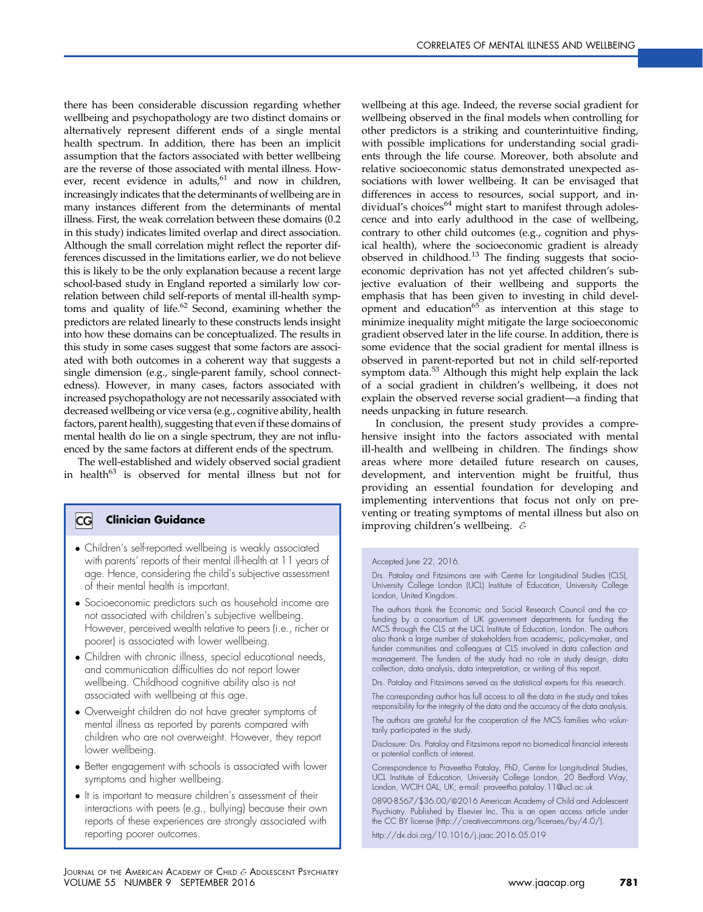there has been considerable discussion regarding whether wellbeing and psychopathology are two distinct domains or alternatively represent different ends of a single mental health spectrum. In addition, there has been an implicit assumption that the factors associated with better wellbeing are the reverse of those associated with mental illness. How-ever, recent evidence in adults,<sup>[61](#page-12-0)</sup> and now in children, increasingly indicates that the determinants of wellbeing are in many instances different from the determinants of mental illness. First, the weak correlation between these domains (0.2 in this study) indicates limited overlap and direct association. Although the small correlation might reflect the reporter differences discussed in the limitations earlier, we do not believe this is likely to be the only explanation because a recent large school-based study in England reported a similarly low correlation between child self-reports of mental ill-health symptoms and quality of life.<sup>62</sup> Second, examining whether the predictors are related linearly to these constructs lends insight into how these domains can be conceptualized. The results in this study in some cases suggest that some factors are associated with both outcomes in a coherent way that suggests a single dimension (e.g., single-parent family, school connectedness). However, in many cases, factors associated with increased psychopathology are not necessarily associated with decreased wellbeing or vice versa (e.g., cognitive ability, health factors, parent health), suggesting that even if these domains of mental health do lie on a single spectrum, they are not influenced by the same factors at different ends of the spectrum.

The well-established and widely observed social gradient in health<sup>[63](#page-12-0)</sup> is observed for mental illness but not for

#### $|CG|$ Clinician Guidance

- Children's self-reported wellbeing is weakly associated with parents' reports of their mental ill-health at 11 years of age. Hence, considering the child's subjective assessment of their mental health is important.
- Socioeconomic predictors such as household income are not associated with children's subjective wellbeing. However, perceived wealth relative to peers (i.e., richer or poorer) is associated with lower wellbeing.
- Children with chronic illness, special educational needs, and communication difficulties do not report lower wellbeing. Childhood cognitive ability also is not associated with wellbeing at this age.
- Overweight children do not have greater symptoms of mental illness as reported by parents compared with children who are not overweight. However, they report lower wellbeing.
- Better engagement with schools is associated with lower symptoms and higher wellbeing.
- It is important to measure children's assessment of their interactions with peers (e.g., bullying) because their own reports of these experiences are strongly associated with reporting poorer outcomes.

wellbeing at this age. Indeed, the reverse social gradient for wellbeing observed in the final models when controlling for other predictors is a striking and counterintuitive finding, with possible implications for understanding social gradients through the life course. Moreover, both absolute and relative socioeconomic status demonstrated unexpected associations with lower wellbeing. It can be envisaged that differences in access to resources, social support, and in-dividual's choices<sup>[64](#page-12-0)</sup> might start to manifest through adolescence and into early adulthood in the case of wellbeing, contrary to other child outcomes (e.g., cognition and physical health), where the socioeconomic gradient is already observed in childhood.<sup>[13](#page-11-0)</sup> The finding suggests that socioeconomic deprivation has not yet affected children's subjective evaluation of their wellbeing and supports the emphasis that has been given to investing in child devel-opment and education<sup>[65](#page-12-0)</sup> as intervention at this stage to minimize inequality might mitigate the large socioeconomic gradient observed later in the life course. In addition, there is some evidence that the social gradient for mental illness is observed in parent-reported but not in child self-reported symptom data.<sup>53</sup> Although this might help explain the lack of a social gradient in children's wellbeing, it does not explain the observed reverse social gradient—a finding that needs unpacking in future research.

In conclusion, the present study provides a comprehensive insight into the factors associated with mental ill-health and wellbeing in children. The findings show areas where more detailed future research on causes, development, and intervention might be fruitful, thus providing an essential foundation for developing and implementing interventions that focus not only on preventing or treating symptoms of mental illness but also on improving children's wellbeing. &

#### Accepted June 22, 2016.

- Drs. Patalay and Fitzsimons are with Centre for Longitudinal Studies (CLS), University College London (UCL) Institute of Education, University College London, United Kingdom.
- The authors thank the Economic and Social Research Council and the cofunding by a consortium of UK government departments for funding the MCS through the CLS at the UCL Institute of Education, London. The authors also thank a large number of stakeholders from academic, policy-maker, and funder communities and colleagues at CLS involved in data collection and management. The funders of the study had no role in study design, data collection, data analysis, data interpretation, or writing of this report.
- Drs. Patalay and Fitzsimons served as the statistical experts for this research.
- The corresponding author has full access to all the data in the study and takes responsibility for the integrity of the data and the accuracy of the data analysis.
- The authors are grateful for the cooperation of the MCS families who voluntarily participated in the study.
- Disclosure: Drs. Patalay and Fitzsimons report no biomedical financial interests or potential conflicts of interest.
- Correspondence to Praveetha Patalay, PhD, Centre for Longitudinal Studies, UCL Institute of Education, University College London, 20 Bedford Way, London, WCIH 0AL, UK; e-mail: [praveetha.patalay.11@ucl.ac.uk](mailto:praveetha.patalay.11@ucl.ac.uk)
- 0890-8567/\$36.00/@2016 American Academy of Child and Adolescent Psychiatry. Published by Elsevier Inc. This is an open access article under the CC BY license (http://creativecommons.org/licenses/by/4.0/).
- <http://dx.doi.org/10.1016/j.jaac.2016.05.019>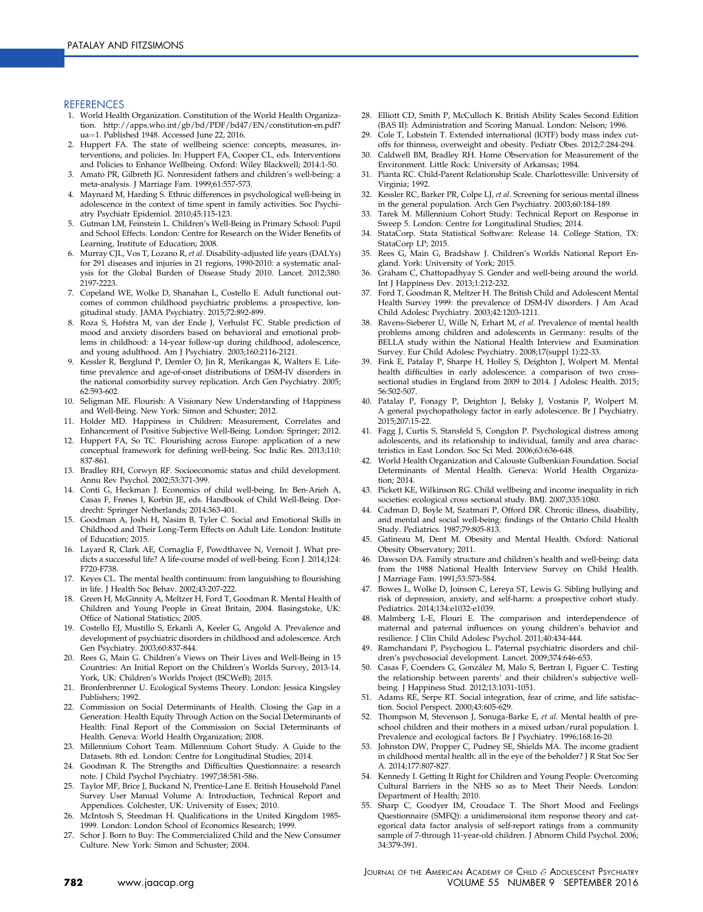#### <span id="page-11-0"></span>**REFERENCES**

- 1. World Health Organization. Constitution of the World Health Organization. [http://apps.who.int/gb/bd/PDF/bd47/EN/constitution-en.pdf?](http://apps.who.int/gb/bd/PDF/bd47/EN/constitution-en.pdf?ua=1) [ua](http://apps.who.int/gb/bd/PDF/bd47/EN/constitution-en.pdf?ua=1)=[1](http://apps.who.int/gb/bd/PDF/bd47/EN/constitution-en.pdf?ua=1). Published 1948. Accessed June 22, 2016.
- 2. Huppert FA. The state of wellbeing science: concepts, measures, interventions, and policies. In: Huppert FA, Cooper CL, eds. Interventions and Policies to Enhance Wellbeing. Oxford: Wiley Blackwell; 2014:1-50.
- 3. Amato PR, Gilbreth JG. Nonresident fathers and children's well-being: a meta-analysis. J Marriage Fam. 1999;61:557-573.
- 4. Maynard M, Harding S. Ethnic differences in psychological well-being in adolescence in the context of time spent in family activities. Soc Psychiatry Psychiatr Epidemiol. 2010;45:115-123.
- 5. Gutman LM, Feinstein L. Children's Well-Being in Primary School: Pupil and School Effects. London: Centre for Research on the Wider Benefits of Learning, Institute of Education; 2008.
- 6. Murray CJL, Vos T, Lozano R, et al. Disability-adjusted life years (DALYs) for 291 diseases and injuries in 21 regions, 1990-2010: a systematic analysis for the Global Burden of Disease Study 2010. Lancet. 2012;380: 2197-2223.
- 7. Copeland WE, Wolke D, Shanahan L, Costello E. Adult functional outcomes of common childhood psychiatric problems: a prospective, longitudinal study. JAMA Psychiatry. 2015;72:892-899.
- 8. Roza S, Hofstra M, van der Ende J, Verhulst FC. Stable prediction of mood and anxiety disorders based on behavioral and emotional problems in childhood: a 14-year follow-up during childhood, adolescence, and young adulthood. Am J Psychiatry. 2003;160:2116-2121.
- 9. Kessler R, Berglund P, Demler O, Jin R, Merikangas K, Walters E. Lifetime prevalence and age-of-onset distributions of DSM-IV disorders in the national comorbidity survey replication. Arch Gen Psychiatry. 2005; 62:593-602.
- 10. Seligman ME. Flourish: A Visionary New Understanding of Happiness and Well-Being. New York: Simon and Schuster; 2012.
- 11. Holder MD. Happiness in Children: Measurement, Correlates and Enhancement of Positive Subjective Well-Being. London: Springer; 2012.
- 12. Huppert FA, So TC. Flourishing across Europe: application of a new conceptual framework for defining well-being. Soc Indic Res. 2013;110: 837-861.
- 13. Bradley RH, Corwyn RF. Socioeconomic status and child development. Annu Rev Psychol. 2002;53:371-399.
- 14. Conti G, Heckman J. Economics of child well-being. In: Ben-Arieh A, Casas F, Frønes I, Korbin JE, eds. Handbook of Child Well-Being. Dordrecht: Springer Netherlands; 2014:363-401.
- 15. Goodman A, Joshi H, Nasim B, Tyler C. Social and Emotional Skills in Childhood and Their Long-Term Effects on Adult Life. London: Institute of Education; 2015.
- 16. Layard R, Clark AE, Cornaglia F, Powdthavee N, Vernoit J. What predicts a successful life? A life-course model of well-being. Econ J. 2014;124: F720-F738.
- 17. Keyes CL. The mental health continuum: from languishing to flourishing in life. J Health Soc Behav. 2002;43:207-222.
- 18. Green H, McGinnity A, Meltzer H, Ford T, Goodman R. Mental Health of Children and Young People in Great Britain, 2004. Basingstoke, UK: Office of National Statistics; 2005.
- 19. Costello EJ, Mustillo S, Erkanli A, Keeler G, Angold A. Prevalence and development of psychiatric disorders in childhood and adolescence. Arch Gen Psychiatry. 2003;60:837-844.
- 20. Rees G, Main G. Children's Views on Their Lives and Well-Being in 15 Countries: An Initial Report on the Children's Worlds Survey, 2013-14. York, UK: Children's Worlds Project (ISCWeB); 2015.
- 21. Bronfenbrenner U. Ecological Systems Theory. London: Jessica Kingsley Publishers; 1992.
- 22. Commission on Social Determinants of Health. Closing the Gap in a Generation: Health Equity Through Action on the Social Determinants of Health: Final Report of the Commission on Social Determinants of Health. Geneva: World Health Organization; 2008.
- 23. Millennium Cohort Team. Millennium Cohort Study. A Guide to the Datasets. 8th ed. London: Centre for Longitudinal Studies; 2014.
- 24. Goodman R. The Strengths and Difficulties Questionnaire: a research note. J Child Psychol Psychiatry. 1997;38:581-586.
- 25. Taylor MF, Brice J, Buckand N, Prentice-Lane E. British Household Panel Survey User Manual Volume A: Introduction, Technical Report and Appendices. Colchester, UK: University of Essex; 2010.
- 26. McIntosh S, Steedman H. Qualifications in the United Kingdom 1985- 1999. London: London School of Economics Research; 1999.
- 27. Schor J. Born to Buy: The Commercialized Child and the New Consumer Culture. New York: Simon and Schuster; 2004.
- 28. Elliott CD, Smith P, McCulloch K. British Ability Scales Second Edition (BAS II): Administration and Scoring Manual. London: Nelson; 1996.
- 29. Cole T, Lobstein T. Extended international (IOTF) body mass index cutoffs for thinness, overweight and obesity. Pediatr Obes. 2012;7:284-294.
- Caldwell BM, Bradley RH. Home Observation for Measurement of the Environment. Little Rock: University of Arkansas; 1984.
- 31. Pianta RC. Child-Parent Relationship Scale. Charlottesville: University of Virginia; 1992.
- 32. Kessler RC, Barker PR, Colpe LJ, et al. Screening for serious mental illness in the general population. Arch Gen Psychiatry. 2003;60:184-189.
- 33. Tarek M. Millennium Cohort Study: Technical Report on Response in Sweep 5. London: Centre for Longitudinal Studies; 2014.
- 34. StataCorp. Stata Statistical Software: Release 14. College Station, TX: StataCorp LP; 2015.
- 35. Rees G, Main G, Bradshaw J. Children's Worlds National Report England. York: University of York; 2015.
- Graham C, Chattopadhyay S. Gender and well-being around the world. Int J Happiness Dev. 2013;1:212-232.
- 37. Ford T, Goodman R, Meltzer H. The British Child and Adolescent Mental Health Survey 1999: the prevalence of DSM-IV disorders. J Am Acad Child Adolesc Psychiatry. 2003;42:1203-1211.
- 38. Ravens-Sieberer U, Wille N, Erhart M, et al. Prevalence of mental health problems among children and adolescents in Germany: results of the BELLA study within the National Health Interview and Examination Survey. Eur Child Adolesc Psychiatry. 2008;17(suppl 1):22-33.
- 39. Fink E, Patalay P, Sharpe H, Holley S, Deighton J, Wolpert M. Mental health difficulties in early adolescence: a comparison of two crosssectional studies in England from 2009 to 2014. J Adolesc Health. 2015; 56:502-507.
- 40. Patalay P, Fonagy P, Deighton J, Belsky J, Vostanis P, Wolpert M. A general psychopathology factor in early adolescence. Br J Psychiatry. 2015;207:15-22.
- 41. Fagg J, Curtis S, Stansfeld S, Congdon P. Psychological distress among adolescents, and its relationship to individual, family and area characteristics in East London. Soc Sci Med. 2006;63:636-648.
- 42. World Health Organization and Calouste Gulbenkian Foundation. Social Determinants of Mental Health. Geneva: World Health Organization; 2014.
- 43. Pickett KE, Wilkinson RG. Child wellbeing and income inequality in rich societies: ecological cross sectional study. BMJ. 2007;335:1080.
- 44. Cadman D, Boyle M, Szatmari P, Offord DR. Chronic illness, disability, and mental and social well-being: findings of the Ontario Child Health Study. Pediatrics. 1987;79:805-813.
- 45. Gatineau M, Dent M. Obesity and Mental Health. Oxford: National Obesity Observatory; 2011.
- 46. Dawson DA. Family structure and children's health and well-being: data from the 1988 National Health Interview Survey on Child Health. J Marriage Fam. 1991;53:573-584.
- 47. Bowes L, Wolke D, Joinson C, Lereya ST, Lewis G. Sibling bullying and risk of depression, anxiety, and self-harm: a prospective cohort study. Pediatrics. 2014;134:e1032-e1039.
- 48. Malmberg L-E, Flouri E. The comparison and interdependence of maternal and paternal influences on young children's behavior and resilience. J Clin Child Adolesc Psychol. 2011;40:434-444.
- 49. Ramchandani P, Psychogiou L. Paternal psychiatric disorders and children's psychosocial development. Lancet. 2009;374:646-653.
- 50. Casas F, Coenders G, Gonzalez M, Malo S, Bertran I, Figuer C. Testing the relationship between parents' and their children's subjective wellbeing. J Happiness Stud. 2012;13:1031-1051.
- 51. Adams RE, Serpe RT. Social integration, fear of crime, and life satisfaction. Sociol Perspect. 2000;43:605-629.
- 52. Thompson M, Stevenson J, Sonuga-Barke E, et al. Mental health of preschool children and their mothers in a mixed urban/rural population. I. Prevalence and ecological factors. Br J Psychiatry. 1996;168:16-20.
- Johnston DW, Propper C, Pudney SE, Shields MA. The income gradient in childhood mental health: all in the eye of the beholder? J R Stat Soc Ser A. 2014;177:807-827.
- 54. Kennedy I. Getting It Right for Children and Young People: Overcoming Cultural Barriers in the NHS so as to Meet Their Needs. London: Department of Health; 2010.
- 55. Sharp C, Goodyer IM, Croudace T. The Short Mood and Feelings Questionnaire (SMFQ): a unidimensional item response theory and categorical data factor analysis of self-report ratings from a community sample of 7-through 11-year-old children. J Abnorm Child Psychol. 2006; 34:379-391.